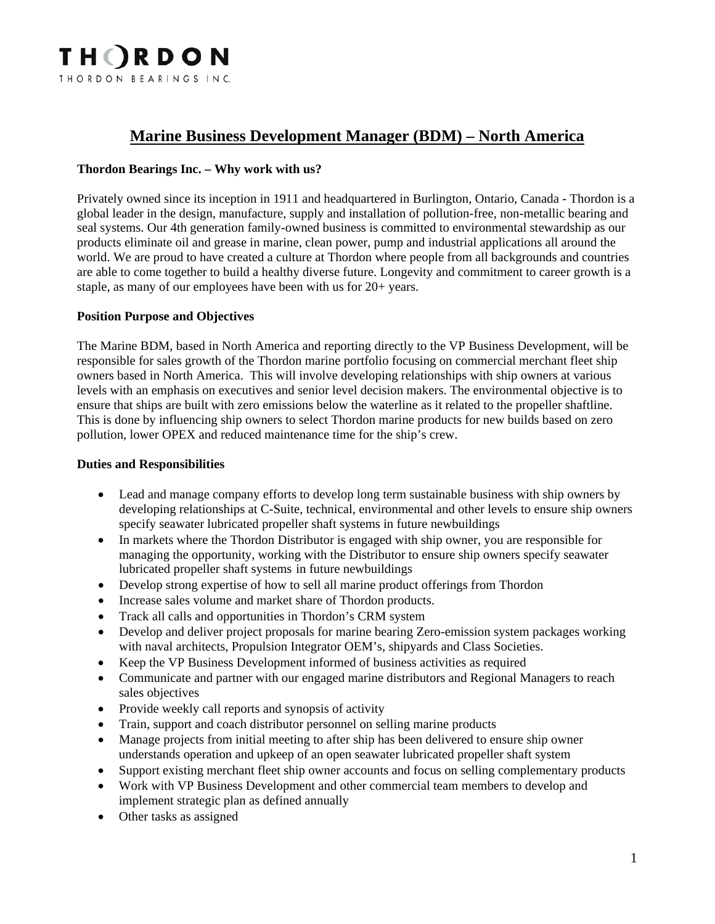

# **Marine Business Development Manager (BDM) – North America**

#### **Thordon Bearings Inc. – Why work with us?**

Privately owned since its inception in 1911 and headquartered in Burlington, Ontario, Canada - Thordon is a global leader in the design, manufacture, supply and installation of pollution-free, non-metallic bearing and seal systems. Our 4th generation family-owned business is committed to environmental stewardship as our products eliminate oil and grease in marine, clean power, pump and industrial applications all around the world. We are proud to have created a culture at Thordon where people from all backgrounds and countries are able to come together to build a healthy diverse future. Longevity and commitment to career growth is a staple, as many of our employees have been with us for 20+ years.

#### **Position Purpose and Objectives**

The Marine BDM, based in North America and reporting directly to the VP Business Development, will be responsible for sales growth of the Thordon marine portfolio focusing on commercial merchant fleet ship owners based in North America. This will involve developing relationships with ship owners at various levels with an emphasis on executives and senior level decision makers. The environmental objective is to ensure that ships are built with zero emissions below the waterline as it related to the propeller shaftline. This is done by influencing ship owners to select Thordon marine products for new builds based on zero pollution, lower OPEX and reduced maintenance time for the ship's crew.

#### **Duties and Responsibilities**

- Lead and manage company efforts to develop long term sustainable business with ship owners by developing relationships at C-Suite, technical, environmental and other levels to ensure ship owners specify seawater lubricated propeller shaft systems in future newbuildings
- In markets where the Thordon Distributor is engaged with ship owner, you are responsible for managing the opportunity, working with the Distributor to ensure ship owners specify seawater lubricated propeller shaft systems in future newbuildings
- Develop strong expertise of how to sell all marine product offerings from Thordon
- Increase sales volume and market share of Thordon products.
- Track all calls and opportunities in Thordon's CRM system
- Develop and deliver project proposals for marine bearing Zero-emission system packages working with naval architects, Propulsion Integrator OEM's, shipyards and Class Societies.
- Keep the VP Business Development informed of business activities as required
- Communicate and partner with our engaged marine distributors and Regional Managers to reach sales objectives
- Provide weekly call reports and synopsis of activity
- Train, support and coach distributor personnel on selling marine products
- Manage projects from initial meeting to after ship has been delivered to ensure ship owner understands operation and upkeep of an open seawater lubricated propeller shaft system
- Support existing merchant fleet ship owner accounts and focus on selling complementary products
- Work with VP Business Development and other commercial team members to develop and implement strategic plan as defined annually
- Other tasks as assigned